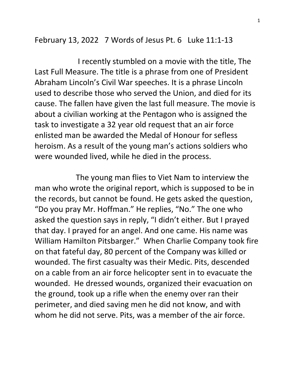February 13, 2022 7 Words of Jesus Pt. 6 Luke 11:1-13

 I recently stumbled on a movie with the title, The Last Full Measure. The title is a phrase from one of President Abraham Lincoln's Civil War speeches. It is a phrase Lincoln used to describe those who served the Union, and died for its cause. The fallen have given the last full measure. The movie is about a civilian working at the Pentagon who is assigned the task to investigate a 32 year old request that an air force enlisted man be awarded the Medal of Honour for sefless heroism. As a result of the young man's actions soldiers who were wounded lived, while he died in the process.

 The young man flies to Viet Nam to interview the man who wrote the original report, which is supposed to be in the records, but cannot be found. He gets asked the question, "Do you pray Mr. Hoffman." He replies, "No." The one who asked the question says in reply, "I didn't either. But I prayed that day. I prayed for an angel. And one came. His name was William Hamilton Pitsbarger." When Charlie Company took fire on that fateful day, 80 percent of the Company was killed or wounded. The first casualty was their Medic. Pits, descended on a cable from an air force helicopter sent in to evacuate the wounded. He dressed wounds, organized their evacuation on the ground, took up a rifle when the enemy over ran their perimeter, and died saving men he did not know, and with whom he did not serve. Pits, was a member of the air force.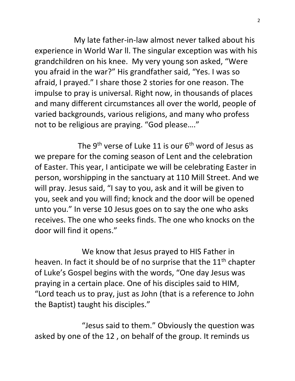My late father-in-law almost never talked about his experience in World War ll. The singular exception was with his grandchildren on his knee. My very young son asked, "Were you afraid in the war?" His grandfather said, "Yes. I was so afraid, I prayed." I share those 2 stories for one reason. The impulse to pray is universal. Right now, in thousands of places and many different circumstances all over the world, people of varied backgrounds, various religions, and many who profess not to be religious are praying. "God please…."

The 9<sup>th</sup> verse of Luke 11 is our  $6<sup>th</sup>$  word of Jesus as we prepare for the coming season of Lent and the celebration of Easter. This year, I anticipate we will be celebrating Easter in person, worshipping in the sanctuary at 110 Mill Street. And we will pray. Jesus said, "I say to you, ask and it will be given to you, seek and you will find; knock and the door will be opened unto you." In verse 10 Jesus goes on to say the one who asks receives. The one who seeks finds. The one who knocks on the door will find it opens."

 We know that Jesus prayed to HIS Father in heaven. In fact it should be of no surprise that the  $11<sup>th</sup>$  chapter of Luke's Gospel begins with the words, "One day Jesus was praying in a certain place. One of his disciples said to HIM, "Lord teach us to pray, just as John (that is a reference to John the Baptist) taught his disciples."

 "Jesus said to them." Obviously the question was asked by one of the 12 , on behalf of the group. It reminds us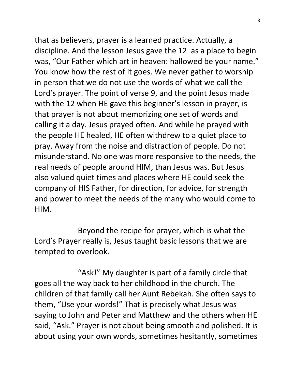that as believers, prayer is a learned practice. Actually, a discipline. And the lesson Jesus gave the 12 as a place to begin was, "Our Father which art in heaven: hallowed be your name." You know how the rest of it goes. We never gather to worship in person that we do not use the words of what we call the Lord's prayer. The point of verse 9, and the point Jesus made with the 12 when HE gave this beginner's lesson in prayer, is that prayer is not about memorizing one set of words and calling it a day. Jesus prayed often. And while he prayed with the people HE healed, HE often withdrew to a quiet place to pray. Away from the noise and distraction of people. Do not misunderstand. No one was more responsive to the needs, the real needs of people around HIM, than Jesus was. But Jesus also valued quiet times and places where HE could seek the company of HIS Father, for direction, for advice, for strength and power to meet the needs of the many who would come to HIM.

 Beyond the recipe for prayer, which is what the Lord's Prayer really is, Jesus taught basic lessons that we are tempted to overlook.

 "Ask!" My daughter is part of a family circle that goes all the way back to her childhood in the church. The children of that family call her Aunt Rebekah. She often says to them, "Use your words!" That is precisely what Jesus was saying to John and Peter and Matthew and the others when HE said, "Ask." Prayer is not about being smooth and polished. It is about using your own words, sometimes hesitantly, sometimes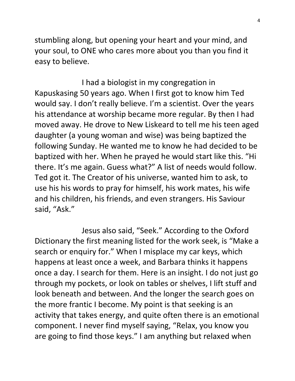stumbling along, but opening your heart and your mind, and your soul, to ONE who cares more about you than you find it easy to believe.

 I had a biologist in my congregation in Kapuskasing 50 years ago. When I first got to know him Ted would say. I don't really believe. I'm a scientist. Over the years his attendance at worship became more regular. By then I had moved away. He drove to New Liskeard to tell me his teen aged daughter (a young woman and wise) was being baptized the following Sunday. He wanted me to know he had decided to be baptized with her. When he prayed he would start like this. "Hi there. It's me again. Guess what?" A list of needs would follow. Ted got it. The Creator of his universe, wanted him to ask, to use his his words to pray for himself, his work mates, his wife and his children, his friends, and even strangers. His Saviour said, "Ask."

 Jesus also said, "Seek." According to the Oxford Dictionary the first meaning listed for the work seek, is "Make a search or enquiry for." When I misplace my car keys, which happens at least once a week, and Barbara thinks it happens once a day. I search for them. Here is an insight. I do not just go through my pockets, or look on tables or shelves, I lift stuff and look beneath and between. And the longer the search goes on the more frantic I become. My point is that seeking is an activity that takes energy, and quite often there is an emotional component. I never find myself saying, "Relax, you know you are going to find those keys." I am anything but relaxed when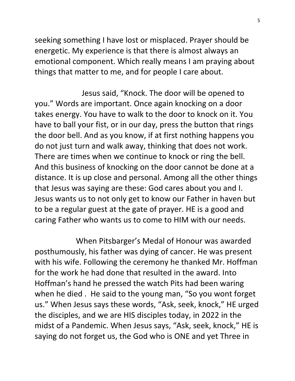seeking something I have lost or misplaced. Prayer should be energetic. My experience is that there is almost always an emotional component. Which really means I am praying about things that matter to me, and for people I care about.

 Jesus said, "Knock. The door will be opened to you." Words are important. Once again knocking on a door takes energy. You have to walk to the door to knock on it. You have to ball your fist, or in our day, press the button that rings the door bell. And as you know, if at first nothing happens you do not just turn and walk away, thinking that does not work. There are times when we continue to knock or ring the bell. And this business of knocking on the door cannot be done at a distance. It is up close and personal. Among all the other things that Jesus was saying are these: God cares about you and I. Jesus wants us to not only get to know our Father in haven but to be a regular guest at the gate of prayer. HE is a good and caring Father who wants us to come to HIM with our needs.

 When Pitsbarger's Medal of Honour was awarded posthumously, his father was dying of cancer. He was present with his wife. Following the ceremony he thanked Mr. Hoffman for the work he had done that resulted in the award. Into Hoffman's hand he pressed the watch Pits had been waring when he died . He said to the young man, "So you wont forget us." When Jesus says these words, "Ask, seek, knock," HE urged the disciples, and we are HIS disciples today, in 2022 in the midst of a Pandemic. When Jesus says, "Ask, seek, knock," HE is saying do not forget us, the God who is ONE and yet Three in